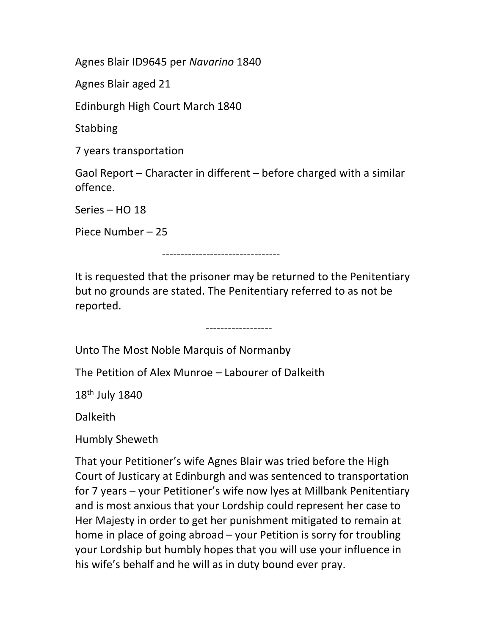Agnes Blair ID9645 per Navarino 1840

Agnes Blair aged 21

Edinburgh High Court March 1840

**Stabbing** 

7 years transportation

Gaol Report – Character in different – before charged with a similar offence.

Series – HO 18

Piece Number – 25

--------------------------------

It is requested that the prisoner may be returned to the Penitentiary but no grounds are stated. The Penitentiary referred to as not be reported.

------------------

Unto The Most Noble Marquis of Normanby

The Petition of Alex Munroe – Labourer of Dalkeith

18th July 1840

Dalkeith

Humbly Sheweth

That your Petitioner's wife Agnes Blair was tried before the High Court of Justicary at Edinburgh and was sentenced to transportation for 7 years – your Petitioner's wife now lyes at Millbank Penitentiary and is most anxious that your Lordship could represent her case to Her Majesty in order to get her punishment mitigated to remain at home in place of going abroad – your Petition is sorry for troubling your Lordship but humbly hopes that you will use your influence in his wife's behalf and he will as in duty bound ever pray.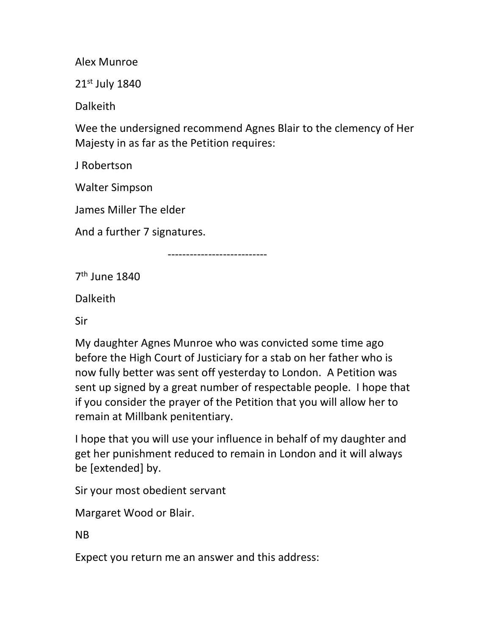Alex Munroe

21st July 1840

Dalkeith

Wee the undersigned recommend Agnes Blair to the clemency of Her Majesty in as far as the Petition requires:

J Robertson

Walter Simpson

James Miller The elder

And a further 7 signatures.

---------------------------

7<sup>th</sup> June 1840

Dalkeith

Sir

My daughter Agnes Munroe who was convicted some time ago before the High Court of Justiciary for a stab on her father who is now fully better was sent off yesterday to London. A Petition was sent up signed by a great number of respectable people. I hope that if you consider the prayer of the Petition that you will allow her to remain at Millbank penitentiary.

I hope that you will use your influence in behalf of my daughter and get her punishment reduced to remain in London and it will always be [extended] by.

Sir your most obedient servant

Margaret Wood or Blair.

NB

Expect you return me an answer and this address: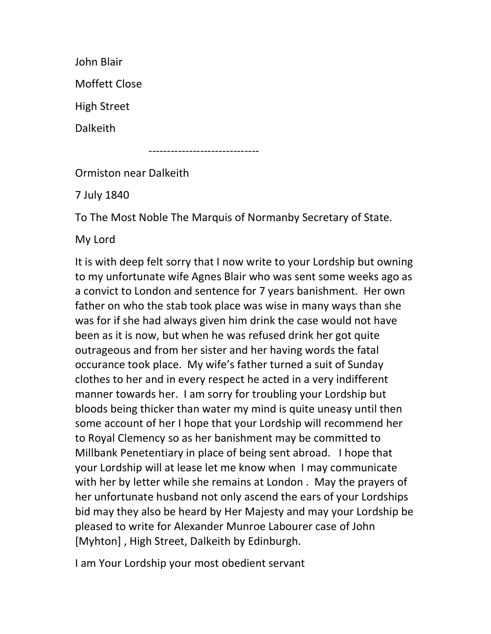John Blair Moffett Close High Street Dalkeith

------------------------------

Ormiston near Dalkeith

7 July 1840

To The Most Noble The Marquis of Normanby Secretary of State.

My Lord

It is with deep felt sorry that I now write to your Lordship but owning to my unfortunate wife Agnes Blair who was sent some weeks ago as a convict to London and sentence for 7 years banishment. Her own father on who the stab took place was wise in many ways than she was for if she had always given him drink the case would not have been as it is now, but when he was refused drink her got quite outrageous and from her sister and her having words the fatal occurance took place. My wife's father turned a suit of Sunday clothes to her and in every respect he acted in a very indifferent manner towards her. I am sorry for troubling your Lordship but bloods being thicker than water my mind is quite uneasy until then some account of her I hope that your Lordship will recommend her to Royal Clemency so as her banishment may be committed to Millbank Penetentiary in place of being sent abroad. I hope that your Lordship will at lease let me know when I may communicate with her by letter while she remains at London . May the prayers of her unfortunate husband not only ascend the ears of your Lordships bid may they also be heard by Her Majesty and may your Lordship be pleased to write for Alexander Munroe Labourer case of John [Myhton] , High Street, Dalkeith by Edinburgh.

I am Your Lordship your most obedient servant